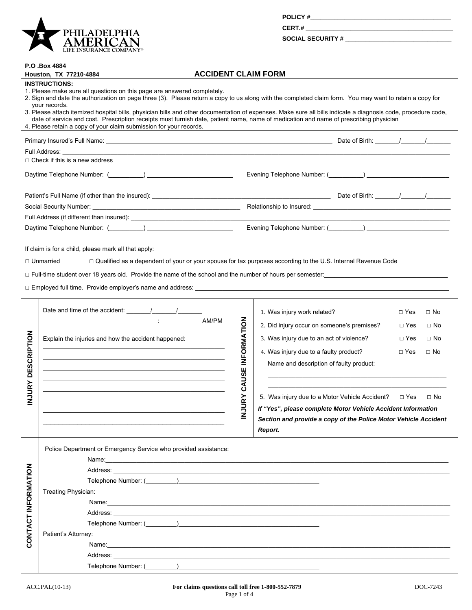

| <b>POLICY#</b> |  |  |
|----------------|--|--|
| CERT.#         |  |  |

SOCIAL SECURITY #

## **P.O .Box 4884**

|                     | Houston, TX 77210-4884                                                                                                                                                                                                                                                                                                                                                                                                                                                                                                                                                                                                                                      | <b>ACCIDENT CLAIM FORM</b> |                          |                                                                 |            |           |
|---------------------|-------------------------------------------------------------------------------------------------------------------------------------------------------------------------------------------------------------------------------------------------------------------------------------------------------------------------------------------------------------------------------------------------------------------------------------------------------------------------------------------------------------------------------------------------------------------------------------------------------------------------------------------------------------|----------------------------|--------------------------|-----------------------------------------------------------------|------------|-----------|
|                     | <b>INSTRUCTIONS:</b><br>1. Please make sure all questions on this page are answered completely.<br>2. Sign and date the authorization on page three (3). Please return a copy to us along with the completed claim form. You may want to retain a copy for<br>your records.<br>3. Please attach itemized hospital bills, physician bills and other documentation of expenses. Make sure all bills indicate a diagnosis code, procedure code,<br>date of service and cost. Prescription receipts must furnish date, patient name, name of medication and name of prescribing physician<br>4. Please retain a copy of your claim submission for your records. |                            |                          |                                                                 |            |           |
|                     |                                                                                                                                                                                                                                                                                                                                                                                                                                                                                                                                                                                                                                                             |                            |                          |                                                                 |            |           |
|                     | Full Address: The Management of the Second State of the Second State of the Second State State and S                                                                                                                                                                                                                                                                                                                                                                                                                                                                                                                                                        |                            |                          |                                                                 |            |           |
|                     | $\Box$ Check if this is a new address                                                                                                                                                                                                                                                                                                                                                                                                                                                                                                                                                                                                                       |                            |                          |                                                                 |            |           |
|                     |                                                                                                                                                                                                                                                                                                                                                                                                                                                                                                                                                                                                                                                             |                            |                          |                                                                 |            |           |
|                     |                                                                                                                                                                                                                                                                                                                                                                                                                                                                                                                                                                                                                                                             |                            |                          |                                                                 |            |           |
|                     |                                                                                                                                                                                                                                                                                                                                                                                                                                                                                                                                                                                                                                                             |                            |                          |                                                                 |            |           |
|                     |                                                                                                                                                                                                                                                                                                                                                                                                                                                                                                                                                                                                                                                             |                            |                          |                                                                 |            |           |
|                     |                                                                                                                                                                                                                                                                                                                                                                                                                                                                                                                                                                                                                                                             |                            |                          |                                                                 |            |           |
|                     | Date and time of the accident: $\frac{1}{\sqrt{1-\frac{1}{\sqrt{1-\frac{1}{\sqrt{1-\frac{1}{\sqrt{1-\frac{1}{\sqrt{1-\frac{1}{\sqrt{1-\frac{1}{\sqrt{1-\frac{1}{\sqrt{1-\frac{1}{\sqrt{1-\frac{1}{\sqrt{1-\frac{1}{\sqrt{1-\frac{1}{\sqrt{1-\frac{1}{\sqrt{1-\frac{1}{\sqrt{1-\frac{1}{\sqrt{1-\frac{1}{\sqrt{1-\frac{1}{\sqrt{1-\frac{1}{\sqrt{1-\frac{1}{\sqrt{1-\frac{1}{\sqrt{1-\frac{1}{\sqrt{1$                                                                                                                                                                                                                                                       |                            |                          | 1. Was injury work related?                                     | $\Box$ Yes | $\Box$ No |
|                     | the control of the control of the con-                                                                                                                                                                                                                                                                                                                                                                                                                                                                                                                                                                                                                      | AM/PM                      |                          | 2. Did injury occur on someone's premises?                      | $\Box$ Yes | $\Box$ No |
|                     | Explain the injuries and how the accident happened:                                                                                                                                                                                                                                                                                                                                                                                                                                                                                                                                                                                                         |                            |                          | 3. Was injury due to an act of violence?                        | $\Box$ Yes | $\Box$ No |
|                     |                                                                                                                                                                                                                                                                                                                                                                                                                                                                                                                                                                                                                                                             |                            |                          | 4. Was injury due to a faulty product?                          | $\Box$ Yes | $\Box$ No |
| <b>DESCRIPTION</b>  | the control of the control of the control of the control of the control of the control of the control of the control of the control of the control of the control of the control of the control of the control of the control<br>the control of the control of the control of the control of the control of the control of                                                                                                                                                                                                                                                                                                                                  |                            | <b>CAUSE INFORMATION</b> | Name and description of faulty product:                         |            |           |
| <b>NJURY</b>        |                                                                                                                                                                                                                                                                                                                                                                                                                                                                                                                                                                                                                                                             |                            |                          | 5. Was injury due to a Motor Vehicle Accident?                  | $\Box$ Yes | $\Box$ No |
|                     |                                                                                                                                                                                                                                                                                                                                                                                                                                                                                                                                                                                                                                                             |                            | <b>VJURY</b>             | If "Yes", please complete Motor Vehicle Accident Information    |            |           |
|                     |                                                                                                                                                                                                                                                                                                                                                                                                                                                                                                                                                                                                                                                             |                            |                          | Section and provide a copy of the Police Motor Vehicle Accident |            |           |
|                     |                                                                                                                                                                                                                                                                                                                                                                                                                                                                                                                                                                                                                                                             |                            |                          | Report.                                                         |            |           |
|                     | Police Department or Emergency Service who provided assistance:<br>Name:                                                                                                                                                                                                                                                                                                                                                                                                                                                                                                                                                                                    |                            |                          |                                                                 |            |           |
|                     |                                                                                                                                                                                                                                                                                                                                                                                                                                                                                                                                                                                                                                                             |                            |                          |                                                                 |            |           |
|                     |                                                                                                                                                                                                                                                                                                                                                                                                                                                                                                                                                                                                                                                             |                            |                          |                                                                 |            |           |
|                     | Treating Physician:                                                                                                                                                                                                                                                                                                                                                                                                                                                                                                                                                                                                                                         |                            |                          |                                                                 |            |           |
|                     |                                                                                                                                                                                                                                                                                                                                                                                                                                                                                                                                                                                                                                                             |                            |                          |                                                                 |            |           |
|                     |                                                                                                                                                                                                                                                                                                                                                                                                                                                                                                                                                                                                                                                             |                            |                          |                                                                 |            |           |
|                     |                                                                                                                                                                                                                                                                                                                                                                                                                                                                                                                                                                                                                                                             |                            |                          |                                                                 |            |           |
| CONTACT INFORMATION | Patient's Attorney:                                                                                                                                                                                                                                                                                                                                                                                                                                                                                                                                                                                                                                         |                            |                          |                                                                 |            |           |
|                     | Name: <u>2000 - 2000 - 2000 - 2000 - 2000 - 2000 - 2000 - 2000 - 2000 - 2000 - 2000 - 2000 - 2000 - 2000 - 2000 - 2000 - 2000 - 2000 - 2000 - 2000 - 2000 - 2000 - 2000 - 2000 - 2000 - 2000 - 2000 - 2000 - 2000 - 2000 - 2000 </u>                                                                                                                                                                                                                                                                                                                                                                                                                        |                            |                          |                                                                 |            |           |
|                     |                                                                                                                                                                                                                                                                                                                                                                                                                                                                                                                                                                                                                                                             |                            |                          |                                                                 |            |           |
|                     |                                                                                                                                                                                                                                                                                                                                                                                                                                                                                                                                                                                                                                                             |                            |                          |                                                                 |            |           |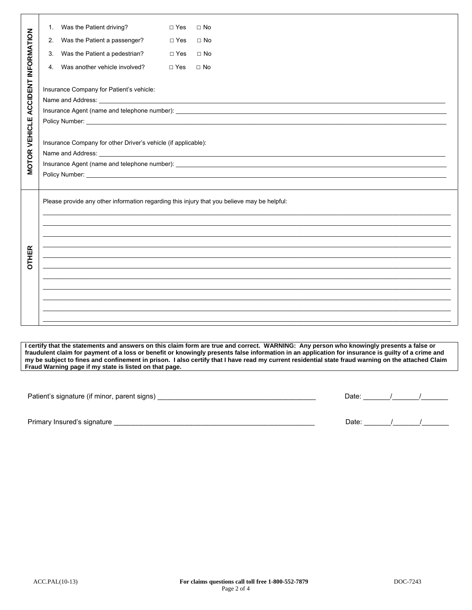| <b>ACCIDENT INFORMATION</b>                                                     | 1. | Was the Patient driving?                                                                    | $\Box$ Yes | $\Box$ No                                                             |  |  |  |  |
|---------------------------------------------------------------------------------|----|---------------------------------------------------------------------------------------------|------------|-----------------------------------------------------------------------|--|--|--|--|
|                                                                                 | 2. | Was the Patient a passenger?                                                                | $\Box$ Yes | $\square$ No                                                          |  |  |  |  |
|                                                                                 | 3. | Was the Patient a pedestrian?                                                               | $\Box$ Yes | $\Box$ No                                                             |  |  |  |  |
|                                                                                 | 4. | Was another vehicle involved?                                                               | $\Box$ Yes | $\Box$ No                                                             |  |  |  |  |
|                                                                                 |    | Insurance Company for Patient's vehicle:                                                    |            |                                                                       |  |  |  |  |
|                                                                                 |    |                                                                                             |            |                                                                       |  |  |  |  |
|                                                                                 |    |                                                                                             |            |                                                                       |  |  |  |  |
|                                                                                 |    |                                                                                             |            |                                                                       |  |  |  |  |
| <b>VEHICLE</b><br>Insurance Company for other Driver's vehicle (if applicable): |    |                                                                                             |            |                                                                       |  |  |  |  |
|                                                                                 |    |                                                                                             |            |                                                                       |  |  |  |  |
| <b>MOTOR</b>                                                                    |    |                                                                                             |            |                                                                       |  |  |  |  |
|                                                                                 |    |                                                                                             |            |                                                                       |  |  |  |  |
|                                                                                 |    |                                                                                             |            |                                                                       |  |  |  |  |
|                                                                                 |    | Please provide any other information regarding this injury that you believe may be helpful: |            |                                                                       |  |  |  |  |
|                                                                                 |    |                                                                                             |            |                                                                       |  |  |  |  |
|                                                                                 |    |                                                                                             |            |                                                                       |  |  |  |  |
|                                                                                 |    |                                                                                             |            |                                                                       |  |  |  |  |
|                                                                                 |    |                                                                                             |            |                                                                       |  |  |  |  |
| <b>OTHER</b>                                                                    |    |                                                                                             |            | <u> 1990 - Paris Paris III, martin Amerikaansk politiker (* 1900)</u> |  |  |  |  |
|                                                                                 |    |                                                                                             |            |                                                                       |  |  |  |  |
|                                                                                 |    |                                                                                             |            |                                                                       |  |  |  |  |
|                                                                                 |    |                                                                                             |            |                                                                       |  |  |  |  |
|                                                                                 |    |                                                                                             |            |                                                                       |  |  |  |  |
|                                                                                 |    |                                                                                             |            |                                                                       |  |  |  |  |

**I certify that the statements and answers on this claim form are true and correct. WARNING: Any person who knowingly presents a false or fraudulent claim for payment of a loss or benefit or knowingly presents false information in an application for insurance is guilty of a crime and my be subject to fines and confinement in prison. I also certify that I have read my current residential state fraud warning on the attached Claim Fraud Warning page if my state is listed on that page.**

| Patient's signature (if minor, parent signs) | Date: |  |  |
|----------------------------------------------|-------|--|--|
|                                              |       |  |  |
| Primary Insured's signature                  | Date: |  |  |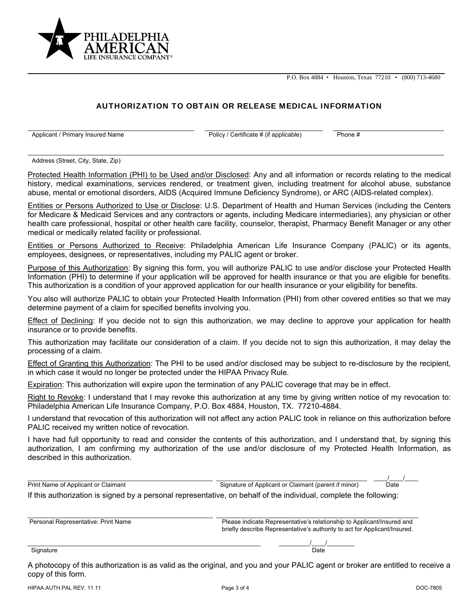P.O. Box 4884 • Houston, Texas 77210 • (800) 713-4680



## AUTHORIZATION TO OBTAIN OR RELEASE MEDICAL INFORMATION

Applicant / Primary Insured Name **Policy 2** Policy / Certificate # (if applicable) Phone #

Address (Street, City, State, Zip)

Protected Health Information (PHI) to be Used and/or Disclosed: Any and all information or records relating to the medical history, medical examinations, services rendered, or treatment given, including treatment for alcohol abuse, substance abuse, mental or emotional disorders, AIDS (Acquired Immune Deficiency Syndrome), or ARC (AIDS-related complex).

Entities or Persons Authorized to Use or Disclose: U.S. Department of Health and Human Services (including the Centers for Medicare & Medicaid Services and any contractors or agents, including Medicare intermediaries), any physician or other health care professional, hospital or other health care facility, counselor, therapist, Pharmacy Benefit Manager or any other medical or medically related facility or professional.

Entities or Persons Authorized to Receive: Philadelphia American Life Insurance Company (PALIC) or its agents, employees, designees, or representatives, including my PALIC agent or broker.

Purpose of this Authorization: By signing this form, you will authorize PALIC to use and/or disclose your Protected Health Information (PHI) to determine if your application will be approved for health insurance or that you are eligible for benefits. This authorization is a condition of your approved application for our health insurance or your eligibility for benefits.

You also will authorize PALIC to obtain your Protected Health Information (PHI) from other covered entities so that we may determine payment of a claim for specified benefits involving you.

Effect of Declining: If you decide not to sign this authorization, we may decline to approve your application for health insurance or to provide benefits.

This authorization may facilitate our consideration of a claim. If you decide not to sign this authorization, it may delay the processing of a claim.

Effect of Granting this Authorization: The PHI to be used and/or disclosed may be subject to re-disclosure by the recipient, in which case it would no longer be protected under the HIPAA Privacy Rule.

Expiration: This authorization will expire upon the termination of any PALIC coverage that may be in effect.

Right to Revoke: I understand that I may revoke this authorization at any time by giving written notice of my revocation to: Philadelphia American Life Insurance Company, P.O. Box 4884, Houston, TX. 77210-4884.

I understand that revocation of this authorization will not affect any action PALIC took in reliance on this authorization before PALIC received my written notice of revocation.

I have had full opportunity to read and consider the contents of this authorization, and I understand that, by signing this authorization, I am confirming my authorization of the use and/or disclosure of my Protected Health Information, as described in this authorization.

| Print Name of Applicant or Claimant                                                                                | Signature of Applicant or Claimant (parent if minor)                      | Date |  |  |
|--------------------------------------------------------------------------------------------------------------------|---------------------------------------------------------------------------|------|--|--|
| If this authorization is signed by a personal representative, on behalf of the individual, complete the following: |                                                                           |      |  |  |
|                                                                                                                    |                                                                           |      |  |  |
|                                                                                                                    |                                                                           |      |  |  |
| Personal Representative: Print Name                                                                                | Please indicate Representative's relationship to Applicant/Insured and    |      |  |  |
|                                                                                                                    | briefly describe Representative's authority to act for Applicant/Insured. |      |  |  |
|                                                                                                                    |                                                                           |      |  |  |
| Signature                                                                                                          | Date                                                                      |      |  |  |
|                                                                                                                    |                                                                           |      |  |  |

A photocopy of this authorization is as valid as the original, and you and your PALIC agent or broker are entitled to receive a copy of this form.